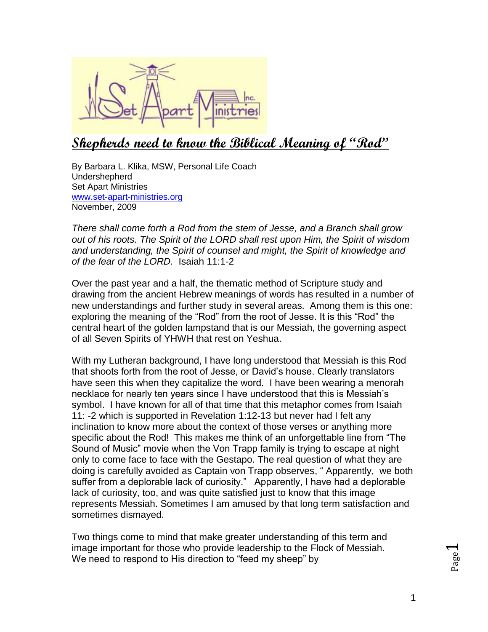

## **Shepherds need to know the Biblical Meaning of "Rod"**

By Barbara L. Klika, MSW, Personal Life Coach Undershepherd Set Apart Ministries [www.set-apart-ministries.org](http://www.set-apart-ministries.org/) November, 2009

*There shall come forth a Rod from the stem of Jesse, and a Branch shall grow out of his roots. The Spirit of the LORD shall rest upon Him, the Spirit of wisdom and understanding, the Spirit of counsel and might, the Spirit of knowledge and of the fear of the LORD.* Isaiah 11:1-2

Over the past year and a half, the thematic method of Scripture study and drawing from the ancient Hebrew meanings of words has resulted in a number of new understandings and further study in several areas. Among them is this one: exploring the meaning of the "Rod" from the root of Jesse. It is this "Rod" the central heart of the golden lampstand that is our Messiah, the governing aspect of all Seven Spirits of YHWH that rest on Yeshua.

With my Lutheran background, I have long understood that Messiah is this Rod that shoots forth from the root of Jesse, or David's house. Clearly translators have seen this when they capitalize the word. I have been wearing a menorah necklace for nearly ten years since I have understood that this is Messiah's symbol. I have known for all of that time that this metaphor comes from Isaiah 11: -2 which is supported in Revelation 1:12-13 but never had I felt any inclination to know more about the context of those verses or anything more specific about the Rod! This makes me think of an unforgettable line from "The Sound of Music" movie when the Von Trapp family is trying to escape at night only to come face to face with the Gestapo. The real question of what they are doing is carefully avoided as Captain von Trapp observes, " Apparently, we both suffer from a deplorable lack of curiosity." Apparently, I have had a deplorable lack of curiosity, too, and was quite satisfied just to know that this image represents Messiah. Sometimes I am amused by that long term satisfaction and sometimes dismayed.

Two things come to mind that make greater understanding of this term and image important for those who provide leadership to the Flock of Messiah. We need to respond to His direction to "feed my sheep" by

Page  $\blacktriangleleft$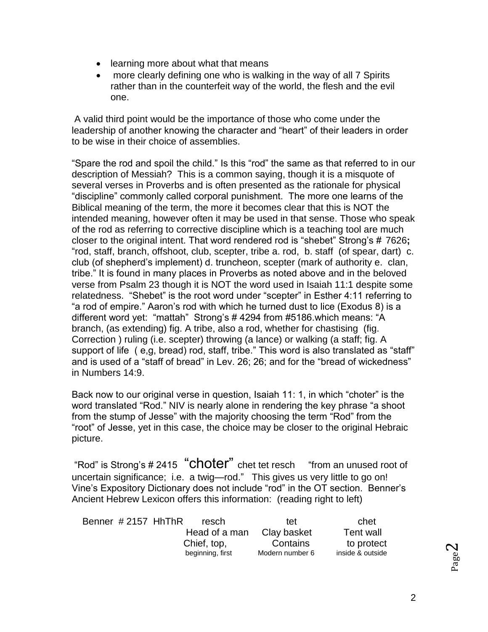- learning more about what that means
- more clearly defining one who is walking in the way of all 7 Spirits rather than in the counterfeit way of the world, the flesh and the evil one.

A valid third point would be the importance of those who come under the leadership of another knowing the character and "heart" of their leaders in order to be wise in their choice of assemblies.

"Spare the rod and spoil the child." Is this "rod" the same as that referred to in our description of Messiah? This is a common saying, though it is a misquote of several verses in Proverbs and is often presented as the rationale for physical "discipline" commonly called corporal punishment. The more one learns of the Biblical meaning of the term, the more it becomes clear that this is NOT the intended meaning, however often it may be used in that sense. Those who speak of the rod as referring to corrective discipline which is a teaching tool are much closer to the original intent. That word rendered rod is "shebet" Strong's # 7626**;** "rod, staff, branch, offshoot, club, scepter, tribe a. rod, b. staff (of spear, dart) c. club (of shepherd's implement) d. truncheon, scepter (mark of authority e. clan, tribe." It is found in many places in Proverbs as noted above and in the beloved verse from Psalm 23 though it is NOT the word used in Isaiah 11:1 despite some relatedness. "Shebet" is the root word under "scepter" in Esther 4:11 referring to "a rod of empire." Aaron's rod with which he turned dust to lice (Exodus 8) is a different word yet: "mattah" Strong's # 4294 from #5186.which means: "A branch, (as extending) fig. A tribe, also a rod, whether for chastising (fig. Correction ) ruling (i.e. scepter) throwing (a lance) or walking (a staff; fig. A support of life ( e,g, bread) rod, staff, tribe." This word is also translated as "staff" and is used of a "staff of bread" in Lev. 26; 26; and for the "bread of wickedness" in Numbers 14:9.

Back now to our original verse in question, Isaiah 11: 1, in which "choter" is the word translated "Rod." NIV is nearly alone in rendering the key phrase "a shoot from the stump of Jesse" with the majority choosing the term "Rod" from the "root" of Jesse, yet in this case, the choice may be closer to the original Hebraic picture.

"Rod" is Strong's # 2415 "Choter" chet tet resch "from an unused root of uncertain significance; i.e. a twig—rod." This gives us very little to go on! Vine's Expository Dictionary does not include "rod" in the OT section. Benner's Ancient Hebrew Lexicon offers this information: (reading right to left)

| Benner #2157 HhThR | resch            | tet             | chet             |
|--------------------|------------------|-----------------|------------------|
|                    | Head of a man    | Clay basket     | Tent wall        |
|                    | Chief, top,      | Contains        | to protect       |
|                    | beginning, first | Modern number 6 | inside & outside |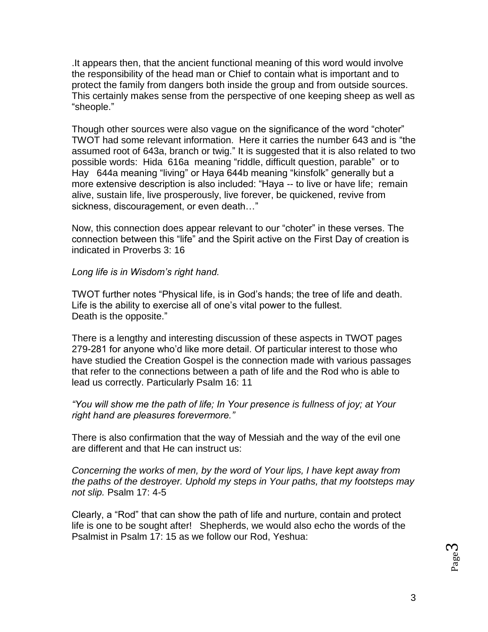.It appears then, that the ancient functional meaning of this word would involve the responsibility of the head man or Chief to contain what is important and to protect the family from dangers both inside the group and from outside sources. This certainly makes sense from the perspective of one keeping sheep as well as "sheople."

Though other sources were also vague on the significance of the word "choter" TWOT had some relevant information. Here it carries the number 643 and is "the assumed root of 643a, branch or twig." It is suggested that it is also related to two possible words: Hida 616a meaning "riddle, difficult question, parable" or to Hay 644a meaning "living" or Haya 644b meaning "kinsfolk" generally but a more extensive description is also included: "Haya -- to live or have life; remain alive, sustain life, live prosperously, live forever, be quickened, revive from sickness, discouragement, or even death…"

Now, this connection does appear relevant to our "choter" in these verses. The connection between this "life" and the Spirit active on the First Day of creation is indicated in Proverbs 3: 16

## *Long life is in Wisdom's right hand.*

TWOT further notes "Physical life, is in God's hands; the tree of life and death. Life is the ability to exercise all of one's vital power to the fullest. Death is the opposite."

There is a lengthy and interesting discussion of these aspects in TWOT pages 279-281 for anyone who'd like more detail. Of particular interest to those who have studied the Creation Gospel is the connection made with various passages that refer to the connections between a path of life and the Rod who is able to lead us correctly. Particularly Psalm 16: 11

*"You will show me the path of life; In Your presence is fullness of joy; at Your right hand are pleasures forevermore."*

There is also confirmation that the way of Messiah and the way of the evil one are different and that He can instruct us:

*Concerning the works of men, by the word of Your lips, I have kept away from the paths of the destroyer. Uphold my steps in Your paths, that my footsteps may not slip.* Psalm 17: 4-5

Clearly, a "Rod" that can show the path of life and nurture, contain and protect life is one to be sought after! Shepherds, we would also echo the words of the Psalmist in Psalm 17: 15 as we follow our Rod, Yeshua: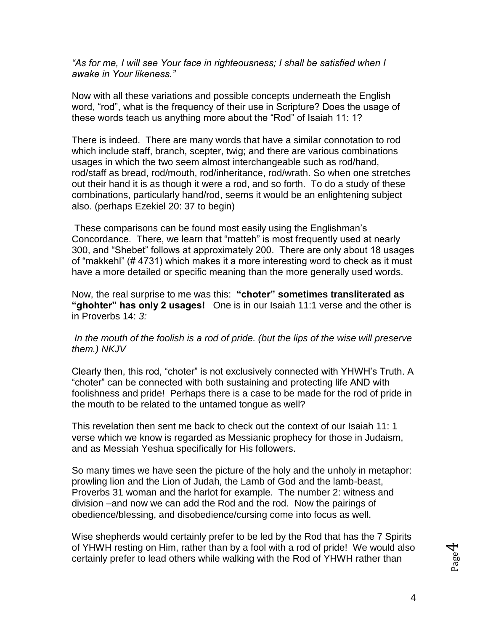*"As for me, I will see Your face in righteousness; I shall be satisfied when I awake in Your likeness."* 

Now with all these variations and possible concepts underneath the English word, "rod", what is the frequency of their use in Scripture? Does the usage of these words teach us anything more about the "Rod" of Isaiah 11: 1?

There is indeed. There are many words that have a similar connotation to rod which include staff, branch, scepter, twig; and there are various combinations usages in which the two seem almost interchangeable such as rod/hand, rod/staff as bread, rod/mouth, rod/inheritance, rod/wrath. So when one stretches out their hand it is as though it were a rod, and so forth. To do a study of these combinations, particularly hand/rod, seems it would be an enlightening subject also. (perhaps Ezekiel 20: 37 to begin)

These comparisons can be found most easily using the Englishman's Concordance. There, we learn that "matteh" is most frequently used at nearly 300, and "Shebet" follows at approximately 200. There are only about 18 usages of "makkehl" (# 4731) which makes it a more interesting word to check as it must have a more detailed or specific meaning than the more generally used words.

Now, the real surprise to me was this: **"choter" sometimes transliterated as "ghohter" has only 2 usages!** One is in our Isaiah 11:1 verse and the other is in Proverbs 14: *3:* 

## *In the mouth of the foolish is a rod of pride. (but the lips of the wise will preserve them.) NKJV*

Clearly then, this rod, "choter" is not exclusively connected with YHWH's Truth. A "choter" can be connected with both sustaining and protecting life AND with foolishness and pride! Perhaps there is a case to be made for the rod of pride in the mouth to be related to the untamed tongue as well?

This revelation then sent me back to check out the context of our Isaiah 11: 1 verse which we know is regarded as Messianic prophecy for those in Judaism, and as Messiah Yeshua specifically for His followers.

So many times we have seen the picture of the holy and the unholy in metaphor: prowling lion and the Lion of Judah, the Lamb of God and the lamb-beast, Proverbs 31 woman and the harlot for example. The number 2: witness and division –and now we can add the Rod and the rod. Now the pairings of obedience/blessing, and disobedience/cursing come into focus as well.

Wise shepherds would certainly prefer to be led by the Rod that has the 7 Spirits of YHWH resting on Him, rather than by a fool with a rod of pride! We would also certainly prefer to lead others while walking with the Rod of YHWH rather than

Page 4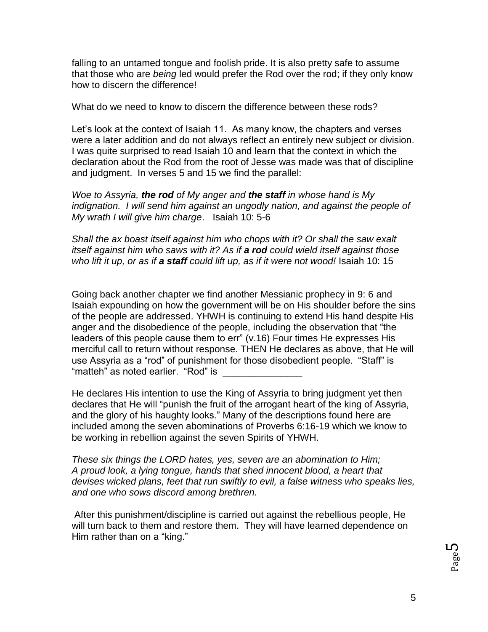falling to an untamed tongue and foolish pride. It is also pretty safe to assume that those who are *being* led would prefer the Rod over the rod; if they only know how to discern the difference!

What do we need to know to discern the difference between these rods?

Let's look at the context of Isaiah 11. As many know, the chapters and verses were a later addition and do not always reflect an entirely new subject or division. I was quite surprised to read Isaiah 10 and learn that the context in which the declaration about the Rod from the root of Jesse was made was that of discipline and judgment. In verses 5 and 15 we find the parallel:

*Woe to Assyria, the rod of My anger and the staff in whose hand is My indignation. I will send him against an ungodly nation, and against the people of My wrath I will give him charge*. Isaiah 10: 5-6

*Shall the ax boast itself against him who chops with it? Or shall the saw exalt itself against him who saws with it? As if a rod could wield itself against those who lift it up, or as if a staff could lift up, as if it were not wood!* Isaiah 10: 15

Going back another chapter we find another Messianic prophecy in 9: 6 and Isaiah expounding on how the government will be on His shoulder before the sins of the people are addressed. YHWH is continuing to extend His hand despite His anger and the disobedience of the people, including the observation that "the leaders of this people cause them to err" (v.16) Four times He expresses His merciful call to return without response. THEN He declares as above, that He will use Assyria as a "rod" of punishment for those disobedient people. "Staff" is "matteh" as noted earlier. "Rod" is

He declares His intention to use the King of Assyria to bring judgment yet then declares that He will "punish the fruit of the arrogant heart of the king of Assyria, and the glory of his haughty looks." Many of the descriptions found here are included among the seven abominations of Proverbs 6:16-19 which we know to be working in rebellion against the seven Spirits of YHWH.

*These six things the LORD hates, yes, seven are an abomination to Him; A proud look, a lying tongue, hands that shed innocent blood, a heart that devises wicked plans, feet that run swiftly to evil, a false witness who speaks lies, and one who sows discord among brethren.* 

After this punishment/discipline is carried out against the rebellious people, He will turn back to them and restore them. They will have learned dependence on Him rather than on a "king."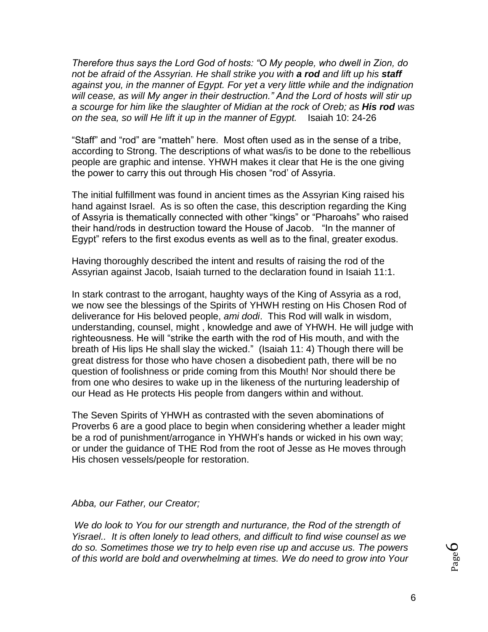*Therefore thus says the Lord God of hosts: "O My people, who dwell in Zion, do not be afraid of the Assyrian. He shall strike you with a rod and lift up his staff against you, in the manner of Egypt. For yet a very little while and the indignation will cease, as will My anger in their destruction." And the Lord of hosts will stir up a scourge for him like the slaughter of Midian at the rock of Oreb; as His rod was on the sea, so will He lift it up in the manner of Egypt.* Isaiah 10: 24-26

"Staff" and "rod" are "matteh" here. Most often used as in the sense of a tribe, according to Strong. The descriptions of what was/is to be done to the rebellious people are graphic and intense. YHWH makes it clear that He is the one giving the power to carry this out through His chosen "rod' of Assyria.

The initial fulfillment was found in ancient times as the Assyrian King raised his hand against Israel. As is so often the case, this description regarding the King of Assyria is thematically connected with other "kings" or "Pharoahs" who raised their hand/rods in destruction toward the House of Jacob. "In the manner of Egypt" refers to the first exodus events as well as to the final, greater exodus.

Having thoroughly described the intent and results of raising the rod of the Assyrian against Jacob, Isaiah turned to the declaration found in Isaiah 11:1.

In stark contrast to the arrogant, haughty ways of the King of Assyria as a rod, we now see the blessings of the Spirits of YHWH resting on His Chosen Rod of deliverance for His beloved people, *ami dodi*. This Rod will walk in wisdom, understanding, counsel, might , knowledge and awe of YHWH. He will judge with righteousness. He will "strike the earth with the rod of His mouth, and with the breath of His lips He shall slay the wicked." (Isaiah 11: 4) Though there will be great distress for those who have chosen a disobedient path, there will be no question of foolishness or pride coming from this Mouth! Nor should there be from one who desires to wake up in the likeness of the nurturing leadership of our Head as He protects His people from dangers within and without.

The Seven Spirits of YHWH as contrasted with the seven abominations of Proverbs 6 are a good place to begin when considering whether a leader might be a rod of punishment/arrogance in YHWH's hands or wicked in his own way; or under the guidance of THE Rod from the root of Jesse as He moves through His chosen vessels/people for restoration.

## *Abba, our Father, our Creator;*

*We do look to You for our strength and nurturance, the Rod of the strength of Yisrael.. It is often lonely to lead others, and difficult to find wise counsel as we do so. Sometimes those we try to help even rise up and accuse us. The powers of this world are bold and overwhelming at times. We do need to grow into Your*